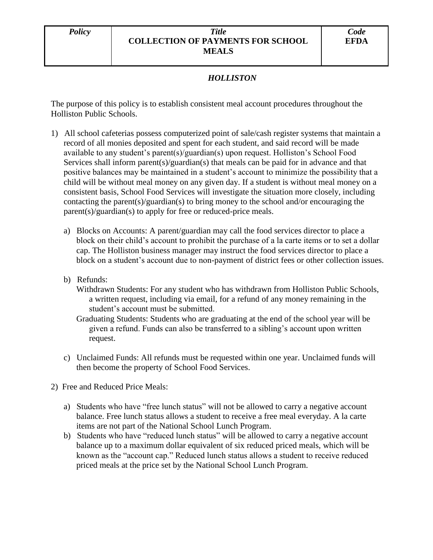## *Policy Title* **COLLECTION OF PAYMENTS FOR SCHOOL MEALS**

## *HOLLISTON*

The purpose of this policy is to establish consistent meal account procedures throughout the Holliston Public Schools.

- 1) All school cafeterias possess computerized point of sale/cash register systems that maintain a record of all monies deposited and spent for each student, and said record will be made available to any student's parent(s)/guardian(s) upon request. Holliston's School Food Services shall inform parent(s)/guardian(s) that meals can be paid for in advance and that positive balances may be maintained in a student's account to minimize the possibility that a child will be without meal money on any given day. If a student is without meal money on a consistent basis, School Food Services will investigate the situation more closely, including contacting the parent(s)/guardian(s) to bring money to the school and/or encouraging the parent(s)/guardian(s) to apply for free or reduced-price meals.
	- a) Blocks on Accounts: A parent/guardian may call the food services director to place a block on their child's account to prohibit the purchase of a la carte items or to set a dollar cap. The Holliston business manager may instruct the food services director to place a block on a student's account due to non-payment of district fees or other collection issues.
	- b) Refunds:
		- Withdrawn Students: For any student who has withdrawn from Holliston Public Schools, a written request, including via email, for a refund of any money remaining in the student's account must be submitted.
		- Graduating Students: Students who are graduating at the end of the school year will be given a refund. Funds can also be transferred to a sibling's account upon written request.
	- c) Unclaimed Funds: All refunds must be requested within one year. Unclaimed funds will then become the property of School Food Services.
- 2) Free and Reduced Price Meals:
	- a) Students who have "free lunch status" will not be allowed to carry a negative account balance. Free lunch status allows a student to receive a free meal everyday. A la carte items are not part of the National School Lunch Program.
	- b) Students who have "reduced lunch status" will be allowed to carry a negative account balance up to a maximum dollar equivalent of six reduced priced meals, which will be known as the "account cap." Reduced lunch status allows a student to receive reduced priced meals at the price set by the National School Lunch Program.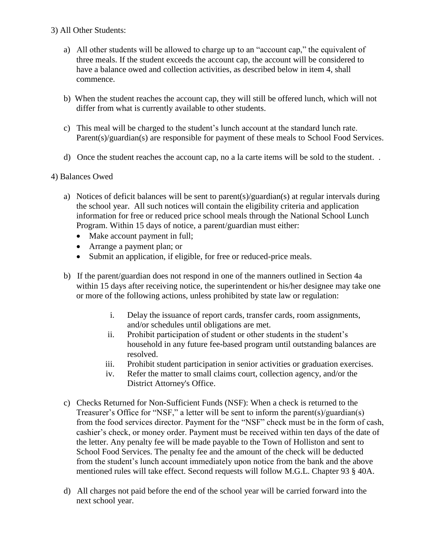## 3) All Other Students:

- a) All other students will be allowed to charge up to an "account cap," the equivalent of three meals. If the student exceeds the account cap, the account will be considered to have a balance owed and collection activities, as described below in item 4, shall commence.
- b) When the student reaches the account cap, they will still be offered lunch, which will not differ from what is currently available to other students.
- c) This meal will be charged to the student's lunch account at the standard lunch rate. Parent(s)/guardian(s) are responsible for payment of these meals to School Food Services.
- d) Once the student reaches the account cap, no a la carte items will be sold to the student. .

## 4) Balances Owed

- a) Notices of deficit balances will be sent to parent(s)/guardian(s) at regular intervals during the school year. All such notices will contain the eligibility criteria and application information for free or reduced price school meals through the National School Lunch Program. Within 15 days of notice, a parent/guardian must either:
	- Make account payment in full;
	- Arrange a payment plan; or
	- Submit an application, if eligible, for free or reduced-price meals.
- b) If the parent/guardian does not respond in one of the manners outlined in Section 4a within 15 days after receiving notice, the superintendent or his/her designee may take one or more of the following actions, unless prohibited by state law or regulation:
	- i. Delay the issuance of report cards, transfer cards, room assignments, and/or schedules until obligations are met.
	- ii. Prohibit participation of student or other students in the student's household in any future fee-based program until outstanding balances are resolved.
	- iii. Prohibit student participation in senior activities or graduation exercises.
	- iv. Refer the matter to small claims court, collection agency, and/or the District Attorney's Office.
- c) Checks Returned for Non-Sufficient Funds (NSF): When a check is returned to the Treasurer's Office for "NSF," a letter will be sent to inform the parent(s)/guardian(s) from the food services director. Payment for the "NSF" check must be in the form of cash, cashier's check, or money order. Payment must be received within ten days of the date of the letter. Any penalty fee will be made payable to the Town of Holliston and sent to School Food Services. The penalty fee and the amount of the check will be deducted from the student's lunch account immediately upon notice from the bank and the above mentioned rules will take effect. Second requests will follow M.G.L. Chapter 93 § 40A.
- d) All charges not paid before the end of the school year will be carried forward into the next school year.